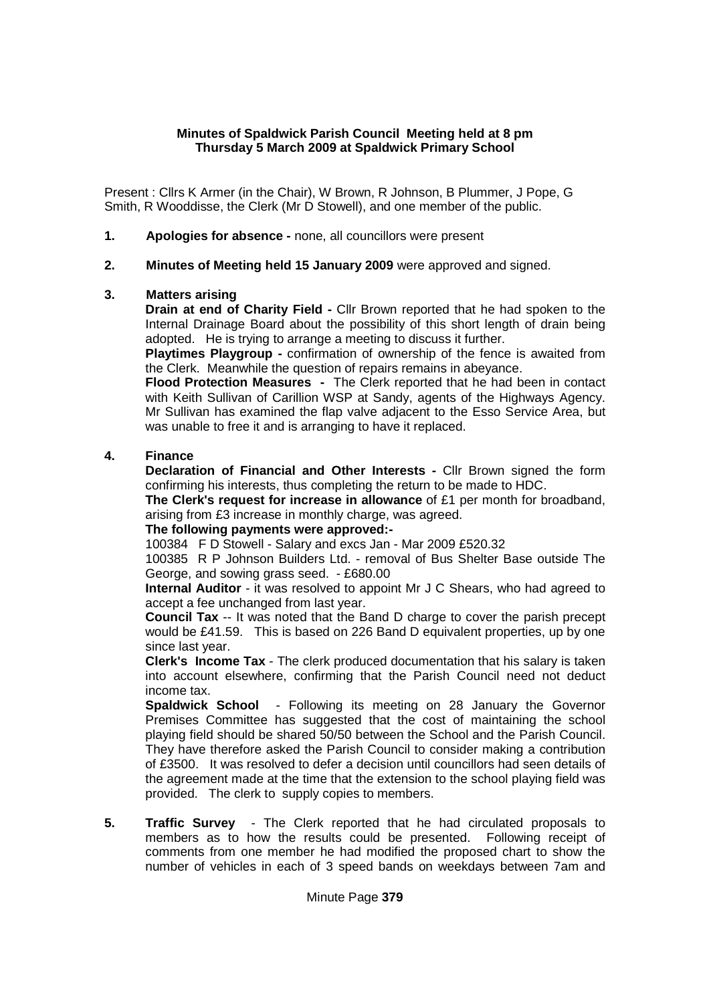### **Minutes of Spaldwick Parish Council Meeting held at 8 pm Thursday 5 March 2009 at Spaldwick Primary School**

Present : Cllrs K Armer (in the Chair), W Brown, R Johnson, B Plummer, J Pope, G Smith, R Wooddisse, the Clerk (Mr D Stowell), and one member of the public.

- **1. Apologies for absence** none, all councillors were present
- **2. Minutes of Meeting held 15 January 2009** were approved and signed.

#### **3. Matters arising**

 **Drain at end of Charity Field -** Cllr Brown reported that he had spoken to the Internal Drainage Board about the possibility of this short length of drain being adopted. He is trying to arrange a meeting to discuss it further.

 **Playtimes Playgroup -** confirmation of ownership of the fence is awaited from the Clerk. Meanwhile the question of repairs remains in abeyance.

 **Flood Protection Measures -** The Clerk reported that he had been in contact with Keith Sullivan of Carillion WSP at Sandy, agents of the Highways Agency. Mr Sullivan has examined the flap valve adjacent to the Esso Service Area, but was unable to free it and is arranging to have it replaced.

### **4. Finance**

 **Declaration of Financial and Other Interests -** Cllr Brown signed the form confirming his interests, thus completing the return to be made to HDC.

**The Clerk's request for increase in allowance** of £1 per month for broadband, arising from £3 increase in monthly charge, was agreed.

#### **The following payments were approved:-**

100384 F D Stowell - Salary and excs Jan - Mar 2009 £520.32

100385 R P Johnson Builders Ltd. - removal of Bus Shelter Base outside The George, and sowing grass seed. - £680.00

**Internal Auditor** - it was resolved to appoint Mr J C Shears, who had agreed to accept a fee unchanged from last year.

**Council Tax** -- It was noted that the Band D charge to cover the parish precept would be £41.59. This is based on 226 Band D equivalent properties, up by one since last year.

**Clerk's Income Tax** - The clerk produced documentation that his salary is taken into account elsewhere, confirming that the Parish Council need not deduct income tax.

**Spaldwick School** - Following its meeting on 28 January the Governor Premises Committee has suggested that the cost of maintaining the school playing field should be shared 50/50 between the School and the Parish Council. They have therefore asked the Parish Council to consider making a contribution of £3500. It was resolved to defer a decision until councillors had seen details of the agreement made at the time that the extension to the school playing field was provided. The clerk to supply copies to members.

**5. Traffic Survey** - The Clerk reported that he had circulated proposals to members as to how the results could be presented. Following receipt of comments from one member he had modified the proposed chart to show the number of vehicles in each of 3 speed bands on weekdays between 7am and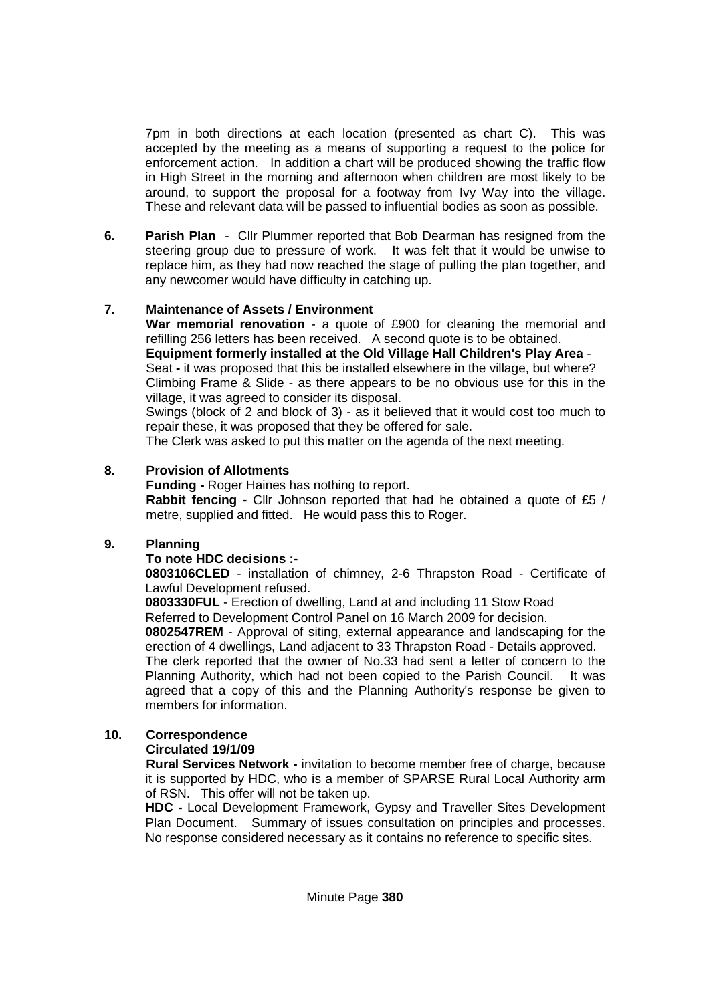7pm in both directions at each location (presented as chart C). This was accepted by the meeting as a means of supporting a request to the police for enforcement action. In addition a chart will be produced showing the traffic flow in High Street in the morning and afternoon when children are most likely to be around, to support the proposal for a footway from Ivy Way into the village. These and relevant data will be passed to influential bodies as soon as possible.

**6. Parish Plan** - Cllr Plummer reported that Bob Dearman has resigned from the steering group due to pressure of work. It was felt that it would be unwise to replace him, as they had now reached the stage of pulling the plan together, and any newcomer would have difficulty in catching up.

## **7. Maintenance of Assets / Environment**

**War memorial renovation** - a quote of £900 for cleaning the memorial and refilling 256 letters has been received. A second quote is to be obtained. **Equipment formerly installed at the Old Village Hall Children's Play Area** - Seat **-** it was proposed that this be installed elsewhere in the village, but where? Climbing Frame & Slide - as there appears to be no obvious use for this in the village, it was agreed to consider its disposal.

Swings (block of 2 and block of 3) - as it believed that it would cost too much to repair these, it was proposed that they be offered for sale.

The Clerk was asked to put this matter on the agenda of the next meeting.

## **8. Provision of Allotments**

**Funding -** Roger Haines has nothing to report.  **Rabbit fencing -** Cllr Johnson reported that had he obtained a quote of £5 / metre, supplied and fitted. He would pass this to Roger.

# **9. Planning**

## **To note HDC decisions :-**

**0803106CLED** - installation of chimney, 2-6 Thrapston Road - Certificate of Lawful Development refused.

**0803330FUL** - Erection of dwelling, Land at and including 11 Stow Road Referred to Development Control Panel on 16 March 2009 for decision.

**0802547REM** - Approval of siting, external appearance and landscaping for the erection of 4 dwellings, Land adjacent to 33 Thrapston Road - Details approved. The clerk reported that the owner of No.33 had sent a letter of concern to the Planning Authority, which had not been copied to the Parish Council. It was agreed that a copy of this and the Planning Authority's response be given to members for information.

# **10. Correspondence**

## **Circulated 19/1/09**

 **Rural Services Network -** invitation to become member free of charge, because it is supported by HDC, who is a member of SPARSE Rural Local Authority arm of RSN. This offer will not be taken up.

**HDC -** Local Development Framework, Gypsy and Traveller Sites Development Plan Document. Summary of issues consultation on principles and processes. No response considered necessary as it contains no reference to specific sites.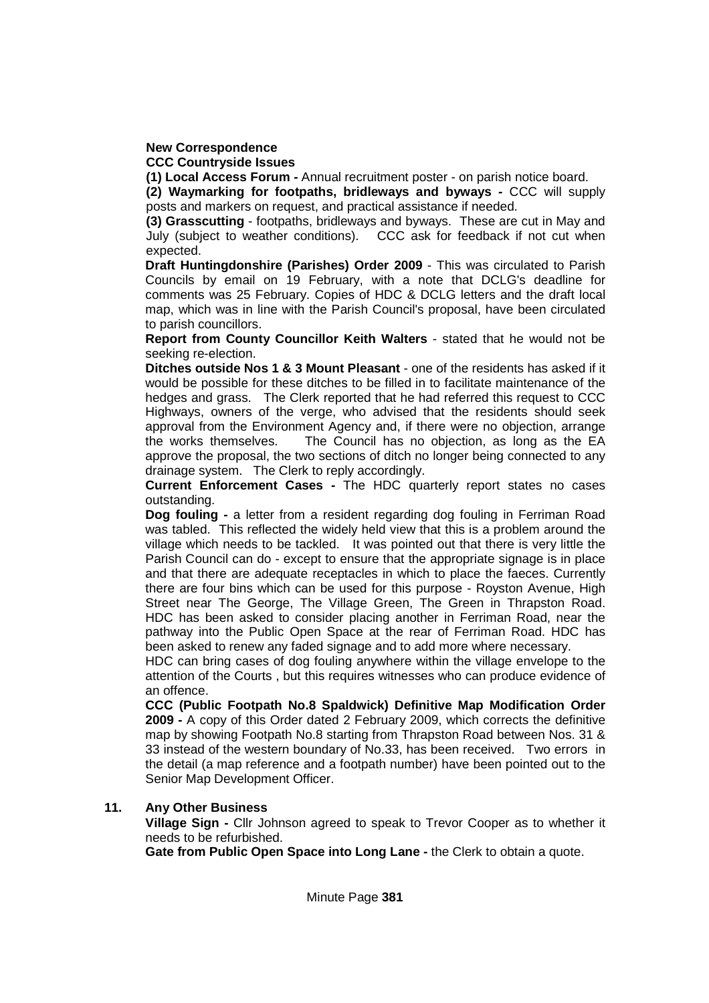# **New Correspondence**

 **CCC Countryside Issues** 

 **(1) Local Access Forum -** Annual recruitment poster - on parish notice board.

**(2) Waymarking for footpaths, bridleways and byways -** CCC will supply posts and markers on request, and practical assistance if needed.

**(3) Grasscutting** - footpaths, bridleways and byways. These are cut in May and July (subject to weather conditions). CCC ask for feedback if not cut when expected.

**Draft Huntingdonshire (Parishes) Order 2009** - This was circulated to Parish Councils by email on 19 February, with a note that DCLG's deadline for comments was 25 February. Copies of HDC & DCLG letters and the draft local map, which was in line with the Parish Council's proposal, have been circulated to parish councillors.

**Report from County Councillor Keith Walters** - stated that he would not be seeking re-election.

**Ditches outside Nos 1 & 3 Mount Pleasant** - one of the residents has asked if it would be possible for these ditches to be filled in to facilitate maintenance of the hedges and grass. The Clerk reported that he had referred this request to CCC Highways, owners of the verge, who advised that the residents should seek approval from the Environment Agency and, if there were no objection, arrange the works themselves. The Council has no objection, as long as the EA approve the proposal, the two sections of ditch no longer being connected to any drainage system. The Clerk to reply accordingly.

**Current Enforcement Cases -** The HDC quarterly report states no cases outstanding.

**Dog fouling -** a letter from a resident regarding dog fouling in Ferriman Road was tabled. This reflected the widely held view that this is a problem around the village which needs to be tackled. It was pointed out that there is very little the Parish Council can do - except to ensure that the appropriate signage is in place and that there are adequate receptacles in which to place the faeces. Currently there are four bins which can be used for this purpose - Royston Avenue, High Street near The George, The Village Green, The Green in Thrapston Road. HDC has been asked to consider placing another in Ferriman Road, near the pathway into the Public Open Space at the rear of Ferriman Road. HDC has been asked to renew any faded signage and to add more where necessary.

HDC can bring cases of dog fouling anywhere within the village envelope to the attention of the Courts , but this requires witnesses who can produce evidence of an offence.

**CCC (Public Footpath No.8 Spaldwick) Definitive Map Modification Order 2009 -** A copy of this Order dated 2 February 2009, which corrects the definitive map by showing Footpath No.8 starting from Thrapston Road between Nos. 31 & 33 instead of the western boundary of No.33, has been received. Two errors in the detail (a map reference and a footpath number) have been pointed out to the Senior Map Development Officer.

### **11. Any Other Business**

 **Village Sign -** Cllr Johnson agreed to speak to Trevor Cooper as to whether it needs to be refurbished.

 **Gate from Public Open Space into Long Lane -** the Clerk to obtain a quote.